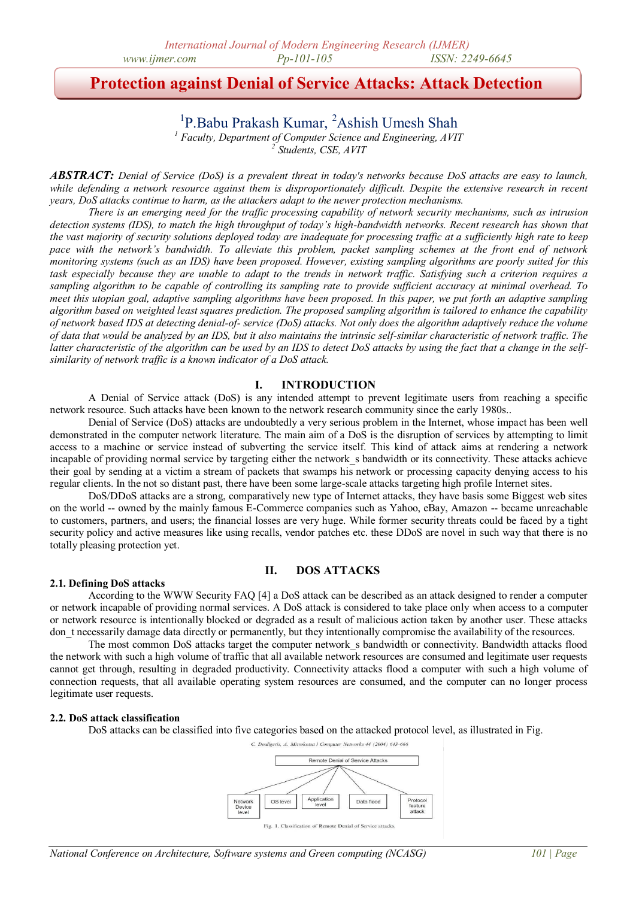# **Protection against Denial of Service Attacks: Attack Detection**

# <sup>1</sup>P.Babu Prakash Kumar, <sup>2</sup>Ashish Umesh Shah

*<sup>1</sup> Faculty, Department of Computer Science and Engineering, AVIT 2 Students, CSE, AVIT*

*ABSTRACT: Denial of Service (DoS) is a prevalent threat in today's networks because DoS attacks are easy to launch, while defending a network resource against them is disproportionately difficult. Despite the extensive research in recent years, DoS attacks continue to harm, as the attackers adapt to the newer protection mechanisms.*

*There is an emerging need for the traffic processing capability of network security mechanisms, such as intrusion detection systems (IDS), to match the high throughput of today's high-bandwidth networks. Recent research has shown that the vast majority of security solutions deployed today are inadequate for processing traffic at a sufficiently high rate to keep pace with the network's bandwidth. To alleviate this problem, packet sampling schemes at the front end of network monitoring systems (such as an IDS) have been proposed. However, existing sampling algorithms are poorly suited for this task especially because they are unable to adapt to the trends in network traffic. Satisfying such a criterion requires a sampling algorithm to be capable of controlling its sampling rate to provide sufficient accuracy at minimal overhead. To meet this utopian goal, adaptive sampling algorithms have been proposed. In this paper, we put forth an adaptive sampling algorithm based on weighted least squares prediction. The proposed sampling algorithm is tailored to enhance the capability of network based IDS at detecting denial-of- service (DoS) attacks. Not only does the algorithm adaptively reduce the volume of data that would be analyzed by an IDS, but it also maintains the intrinsic self-similar characteristic of network traffic. The latter characteristic of the algorithm can be used by an IDS to detect DoS attacks by using the fact that a change in the selfsimilarity of network traffic is a known indicator of a DoS attack.*

# **I. INTRODUCTION**

A Denial of Service attack (DoS) is any intended attempt to prevent legitimate users from reaching a specific network resource. Such attacks have been known to the network research community since the early 1980s..

Denial of Service (DoS) attacks are undoubtedly a very serious problem in the Internet, whose impact has been well demonstrated in the computer network literature. The main aim of a DoS is the disruption of services by attempting to limit access to a machine or service instead of subverting the service itself. This kind of attack aims at rendering a network incapable of providing normal service by targeting either the network\_s bandwidth or its connectivity. These attacks achieve their goal by sending at a victim a stream of packets that swamps his network or processing capacity denying access to his regular clients. In the not so distant past, there have been some large-scale attacks targeting high profile Internet sites.

DoS/DDoS attacks are a strong, comparatively new type of Internet attacks, they have basis some Biggest web sites on the world -- owned by the mainly famous E-Commerce companies such as Yahoo, eBay, Amazon -- became unreachable to customers, partners, and users; the financial losses are very huge. While former security threats could be faced by a tight security policy and active measures like using recalls, vendor patches etc. these DDoS are novel in such way that there is no totally pleasing protection yet.

## **II. DOS ATTACKS**

### **2.1. Defining DoS attacks**

According to the WWW Security FAQ [4] a DoS attack can be described as an attack designed to render a computer or network incapable of providing normal services. A DoS attack is considered to take place only when access to a computer or network resource is intentionally blocked or degraded as a result of malicious action taken by another user. These attacks don t necessarily damage data directly or permanently, but they intentionally compromise the availability of the resources.

The most common DoS attacks target the computer network\_s bandwidth or connectivity. Bandwidth attacks flood the network with such a high volume of traffic that all available network resources are consumed and legitimate user requests cannot get through, resulting in degraded productivity. Connectivity attacks flood a computer with such a high volume of connection requests, that all available operating system resources are consumed, and the computer can no longer process legitimate user requests.

### **2.2. DoS attack classification**

DoS attacks can be classified into five categories based on the attacked protocol level, as illustrated in Fig.

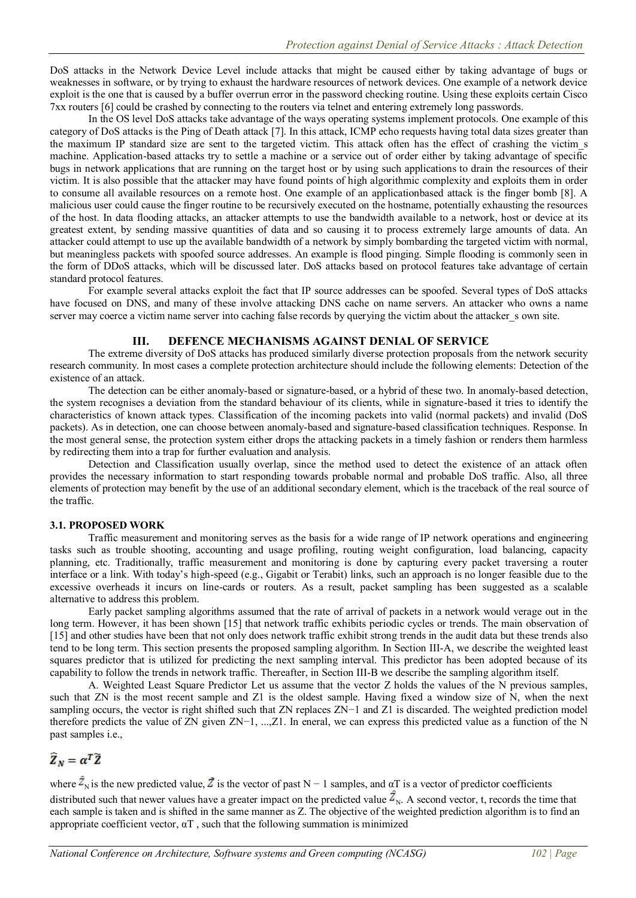DoS attacks in the Network Device Level include attacks that might be caused either by taking advantage of bugs or weaknesses in software, or by trying to exhaust the hardware resources of network devices. One example of a network device exploit is the one that is caused by a buffer overrun error in the password checking routine. Using these exploits certain Cisco 7xx routers [6] could be crashed by connecting to the routers via telnet and entering extremely long passwords.

In the OS level DoS attacks take advantage of the ways operating systems implement protocols. One example of this category of DoS attacks is the Ping of Death attack [7]. In this attack, ICMP echo requests having total data sizes greater than the maximum IP standard size are sent to the targeted victim. This attack often has the effect of crashing the victim s machine. Application-based attacks try to settle a machine or a service out of order either by taking advantage of specific bugs in network applications that are running on the target host or by using such applications to drain the resources of their victim. It is also possible that the attacker may have found points of high algorithmic complexity and exploits them in order to consume all available resources on a remote host. One example of an applicationbased attack is the finger bomb [8]. A malicious user could cause the finger routine to be recursively executed on the hostname, potentially exhausting the resources of the host. In data flooding attacks, an attacker attempts to use the bandwidth available to a network, host or device at its greatest extent, by sending massive quantities of data and so causing it to process extremely large amounts of data. An attacker could attempt to use up the available bandwidth of a network by simply bombarding the targeted victim with normal, but meaningless packets with spoofed source addresses. An example is flood pinging. Simple flooding is commonly seen in the form of DDoS attacks, which will be discussed later. DoS attacks based on protocol features take advantage of certain standard protocol features.

For example several attacks exploit the fact that IP source addresses can be spoofed. Several types of DoS attacks have focused on DNS, and many of these involve attacking DNS cache on name servers. An attacker who owns a name server may coerce a victim name server into caching false records by querying the victim about the attacker s own site.

# **III. DEFENCE MECHANISMS AGAINST DENIAL OF SERVICE**

The extreme diversity of DoS attacks has produced similarly diverse protection proposals from the network security research community. In most cases a complete protection architecture should include the following elements: Detection of the existence of an attack.

The detection can be either anomaly-based or signature-based, or a hybrid of these two. In anomaly-based detection, the system recognises a deviation from the standard behaviour of its clients, while in signature-based it tries to identify the characteristics of known attack types. Classification of the incoming packets into valid (normal packets) and invalid (DoS packets). As in detection, one can choose between anomaly-based and signature-based classification techniques. Response. In the most general sense, the protection system either drops the attacking packets in a timely fashion or renders them harmless by redirecting them into a trap for further evaluation and analysis.

Detection and Classification usually overlap, since the method used to detect the existence of an attack often provides the necessary information to start responding towards probable normal and probable DoS traffic. Also, all three elements of protection may benefit by the use of an additional secondary element, which is the traceback of the real source of the traffic.

# **3.1. PROPOSED WORK**

Traffic measurement and monitoring serves as the basis for a wide range of IP network operations and engineering tasks such as trouble shooting, accounting and usage profiling, routing weight configuration, load balancing, capacity planning, etc. Traditionally, traffic measurement and monitoring is done by capturing every packet traversing a router interface or a link. With today's high-speed (e.g., Gigabit or Terabit) links, such an approach is no longer feasible due to the excessive overheads it incurs on line-cards or routers. As a result, packet sampling has been suggested as a scalable alternative to address this problem.

Early packet sampling algorithms assumed that the rate of arrival of packets in a network would verage out in the long term. However, it has been shown [15] that network traffic exhibits periodic cycles or trends. The main observation of [15] and other studies have been that not only does network traffic exhibit strong trends in the audit data but these trends also tend to be long term. This section presents the proposed sampling algorithm. In Section III-A, we describe the weighted least squares predictor that is utilized for predicting the next sampling interval. This predictor has been adopted because of its capability to follow the trends in network traffic. Thereafter, in Section III-B we describe the sampling algorithm itself.

A. Weighted Least Square Predictor Let us assume that the vector Z holds the values of the N previous samples, such that ZN is the most recent sample and Z1 is the oldest sample. Having fixed a window size of N, when the next sampling occurs, the vector is right shifted such that ZN replaces ZN−1 and Z1 is discarded. The weighted prediction model therefore predicts the value of ZN given ZN−1, ...,Z1. In eneral, we can express this predicted value as a function of the N past samples i.e.,

# $\hat{Z}_N = \alpha^T \tilde{Z}$

where  $\hat{Z}_N$  is the new predicted value,  $\hat{Z}$  is the vector of past N − 1 samples, and  $\alpha T$  is a vector of predictor coefficients distributed such that newer values have a greater impact on the predicted value  $\vec{Z}_N$ . A second vector, t, records the time that each sample is taken and is shifted in the same manner as Z. The objective of the weighted prediction algorithm is to find an appropriate coefficient vector, αT , such that the following summation is minimized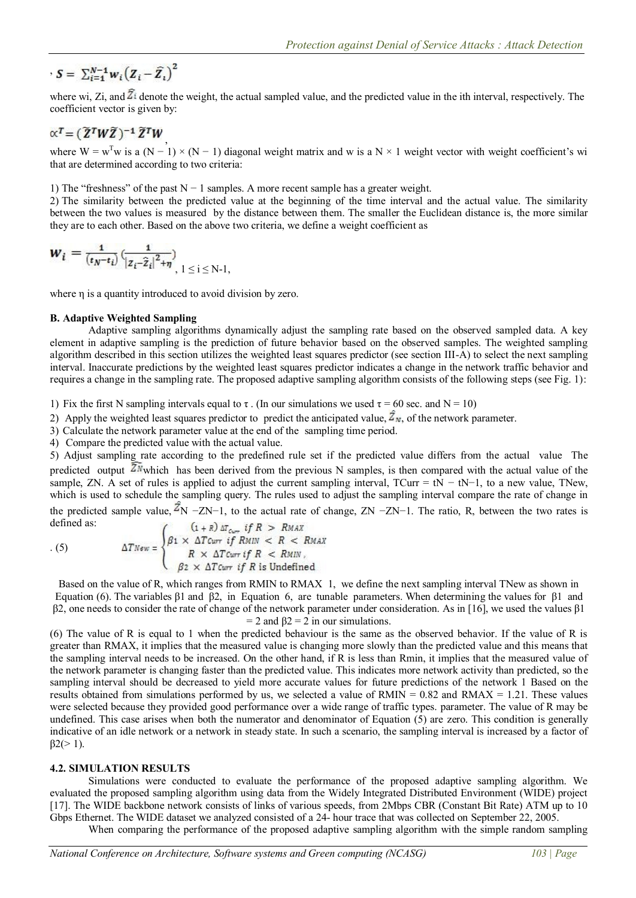# $S = \sum_{i=1}^{N-1} w_i (Z_i - \hat{Z}_i)^2$

where wi, Zi, and  $\widehat{\mathbb{Z}}$  denote the weight, the actual sampled value, and the predicted value in the ith interval, respectively. The coefficient vector is given by:

#### $\alpha^T = (\widetilde{Z}^T W \widetilde{Z})^{-1} \widetilde{Z}^T W$ ,

where W = w<sup>T</sup>w is a (N − 1) × (N − 1) diagonal weight matrix and w is a N × 1 weight vector with weight coefficient's wi that are determined according to two criteria:

1) The "freshness" of the past  $N - 1$  samples. A more recent sample has a greater weight.

2) The similarity between the predicted value at the beginning of the time interval and the actual value. The similarity between the two values is measured by the distance between them. The smaller the Euclidean distance is, the more similar they are to each other. Based on the above two criteria, we define a weight coefficient as

$$
W_i = \frac{1}{(t_N - t_i)} \left( \frac{1}{|z_i - \hat{z}_i|^2 + \eta} \right)_{\substack{1 \leq i \leq N-1, \\ i \neq j}}
$$

where η is a quantity introduced to avoid division by zero.

# **B. Adaptive Weighted Sampling**

Adaptive sampling algorithms dynamically adjust the sampling rate based on the observed sampled data. A key element in adaptive sampling is the prediction of future behavior based on the observed samples. The weighted sampling algorithm described in this section utilizes the weighted least squares predictor (see section III-A) to select the next sampling interval. Inaccurate predictions by the weighted least squares predictor indicates a change in the network traffic behavior and requires a change in the sampling rate. The proposed adaptive sampling algorithm consists of the following steps (see Fig. 1):

1) Fix the first N sampling intervals equal to  $\tau$ . (In our simulations we used  $\tau = 60$  sec. and N = 10)

2) Apply the weighted least squares predictor to predict the anticipated value,  $\hat{Z}_N$ , of the network parameter.

3) Calculate the network parameter value at the end of the sampling time period.

4) Compare the predicted value with the actual value.

5) Adjust sampling rate according to the predefined rule set if the predicted value differs from the actual value The predicted output  $\overline{\tilde{Z}_{N}}$  which has been derived from the previous N samples, is then compared with the actual value of the sample, ZN. A set of rules is applied to adjust the current sampling interval, TCurr = tN − tN−1, to a new value, TNew, which is used to schedule the sampling query. The rules used to adjust the sampling interval compare the rate of change in the predicted sample value,  $\hat{Z}_{N}$  –ZN−1, to the actual rate of change, ZN –ZN−1. The ratio, R, between the two rates is defined as: defined as:

$$
\Delta T_{New} = \begin{cases}\n\beta_1 \times \Delta T_{curr} & if R > RMAX \\
R \times \Delta T_{curr} & if R < RMAX \\
R \times \Delta T_{curr} & if R < RMIN\n\end{cases}
$$
\n
$$
\beta_2 \times \Delta T_{curr} & if R \text{ is Undefined}
$$

Based on the value of R, which ranges from RMIN to RMAX 1, we define the next sampling interval TNew as shown in Equation (6). The variables β1 and  $\beta$ 2, in Equation 6, are tunable parameters. When determining the values for β1 and  $β2$ , one needs to consider the rate of change of the network parameter under consideration. As in [16], we used the values  $β1$  $= 2$  and  $\beta$ 2 = 2 in our simulations.

(6) The value of R is equal to 1 when the predicted behaviour is the same as the observed behavior. If the value of R is greater than RMAX, it implies that the measured value is changing more slowly than the predicted value and this means that the sampling interval needs to be increased. On the other hand, if R is less than Rmin, it implies that the measured value of the network parameter is changing faster than the predicted value. This indicates more network activity than predicted, so the sampling interval should be decreased to yield more accurate values for future predictions of the network 1 Based on the results obtained from simulations performed by us, we selected a value of  $RMIN = 0.82$  and  $RMAX = 1.21$ . These values were selected because they provided good performance over a wide range of traffic types. parameter. The value of R may be undefined. This case arises when both the numerator and denominator of Equation (5) are zero. This condition is generally indicative of an idle network or a network in steady state. In such a scenario, the sampling interval is increased by a factor of  $β2(>1)$ .

# **4.2. SIMULATION RESULTS**

Simulations were conducted to evaluate the performance of the proposed adaptive sampling algorithm. We evaluated the proposed sampling algorithm using data from the Widely Integrated Distributed Environment (WIDE) project [17]. The WIDE backbone network consists of links of various speeds, from 2Mbps CBR (Constant Bit Rate) ATM up to 10 Gbps Ethernet. The WIDE dataset we analyzed consisted of a 24- hour trace that was collected on September 22, 2005.

When comparing the performance of the proposed adaptive sampling algorithm with the simple random sampling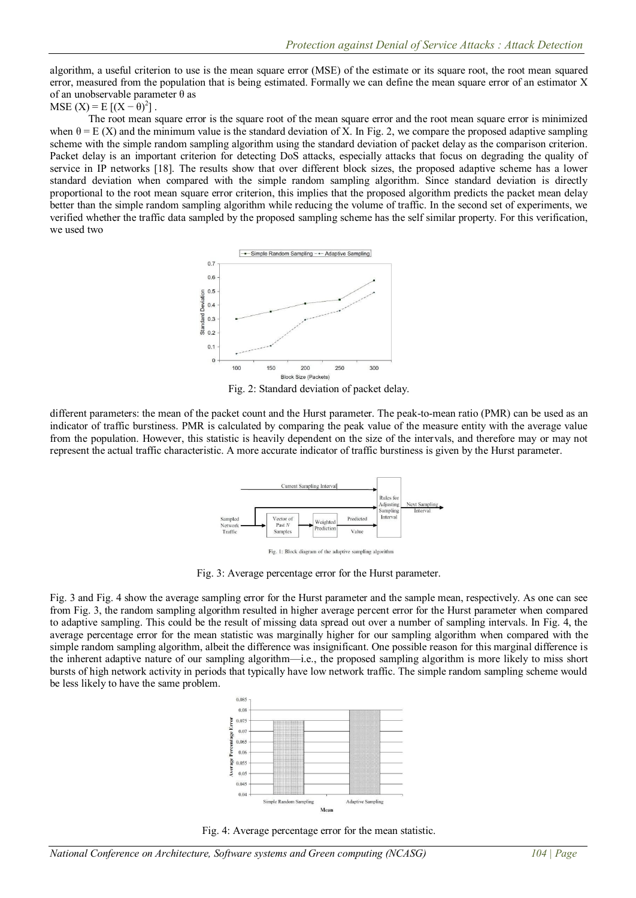algorithm, a useful criterion to use is the mean square error (MSE) of the estimate or its square root, the root mean squared error, measured from the population that is being estimated. Formally we can define the mean square error of an estimator X of an unobservable parameter θ as

MSE  $(X) = E [(X - \theta)^2]$ .

The root mean square error is the square root of the mean square error and the root mean square error is minimized when  $\theta = E(X)$  and the minimum value is the standard deviation of X. In Fig. 2, we compare the proposed adaptive sampling scheme with the simple random sampling algorithm using the standard deviation of packet delay as the comparison criterion. Packet delay is an important criterion for detecting DoS attacks, especially attacks that focus on degrading the quality of service in IP networks [18]. The results show that over different block sizes, the proposed adaptive scheme has a lower standard deviation when compared with the simple random sampling algorithm. Since standard deviation is directly proportional to the root mean square error criterion, this implies that the proposed algorithm predicts the packet mean delay better than the simple random sampling algorithm while reducing the volume of traffic. In the second set of experiments, we verified whether the traffic data sampled by the proposed sampling scheme has the self similar property. For this verification, we used two



Fig. 2: Standard deviation of packet delay.

different parameters: the mean of the packet count and the Hurst parameter. The peak-to-mean ratio (PMR) can be used as an indicator of traffic burstiness. PMR is calculated by comparing the peak value of the measure entity with the average value from the population. However, this statistic is heavily dependent on the size of the intervals, and therefore may or may not represent the actual traffic characteristic. A more accurate indicator of traffic burstiness is given by the Hurst parameter.



Fig. 3: Average percentage error for the Hurst parameter.

Fig. 3 and Fig. 4 show the average sampling error for the Hurst parameter and the sample mean, respectively. As one can see from Fig. 3, the random sampling algorithm resulted in higher average percent error for the Hurst parameter when compared to adaptive sampling. This could be the result of missing data spread out over a number of sampling intervals. In Fig. 4, the average percentage error for the mean statistic was marginally higher for our sampling algorithm when compared with the simple random sampling algorithm, albeit the difference was insignificant. One possible reason for this marginal difference is the inherent adaptive nature of our sampling algorithm—i.e., the proposed sampling algorithm is more likely to miss short bursts of high network activity in periods that typically have low network traffic. The simple random sampling scheme would be less likely to have the same problem.



Fig. 4: Average percentage error for the mean statistic.